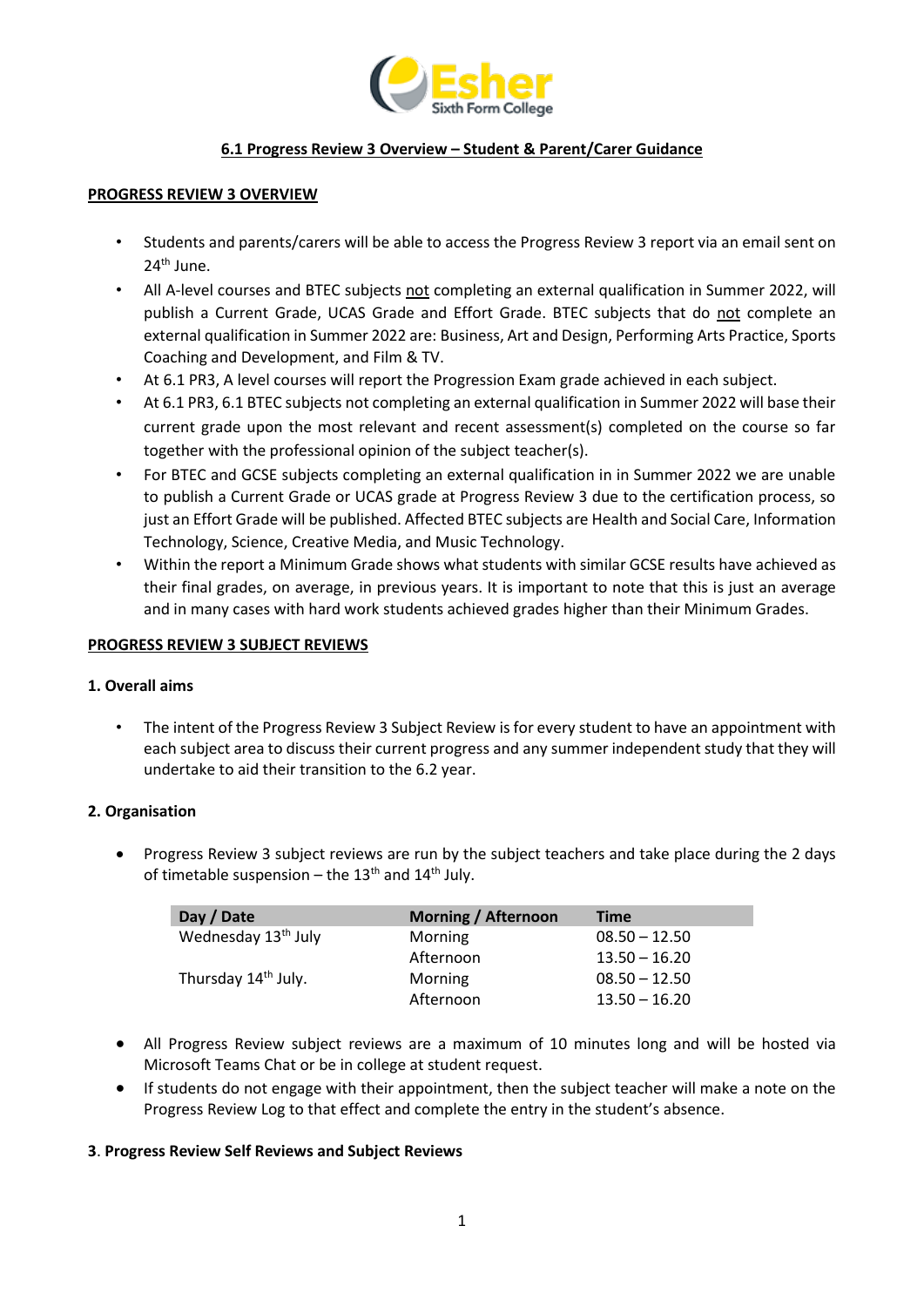

# **6.1 Progress Review 3 Overview – Student & Parent/Carer Guidance**

#### **PROGRESS REVIEW 3 OVERVIEW**

- Students and parents/carers will be able to access the Progress Review 3 report via an email sent on 24th June.
- All A-level courses and BTEC subjects not completing an external qualification in Summer 2022, will publish a Current Grade, UCAS Grade and Effort Grade. BTEC subjects that do not complete an external qualification in Summer 2022 are: Business, Art and Design, Performing Arts Practice, Sports Coaching and Development, and Film & TV.
- At 6.1 PR3, A level courses will report the Progression Exam grade achieved in each subject.
- At 6.1 PR3, 6.1 BTEC subjects not completing an external qualification in Summer 2022 will base their current grade upon the most relevant and recent assessment(s) completed on the course so far together with the professional opinion of the subject teacher(s).
- For BTEC and GCSE subjects completing an external qualification in in Summer 2022 we are unable to publish a Current Grade or UCAS grade at Progress Review 3 due to the certification process, so just an Effort Grade will be published. Affected BTEC subjects are Health and Social Care, Information Technology, Science, Creative Media, and Music Technology.
- Within the report a Minimum Grade shows what students with similar GCSE results have achieved as their final grades, on average, in previous years. It is important to note that this is just an average and in many cases with hard work students achieved grades higher than their Minimum Grades.

#### **PROGRESS REVIEW 3 SUBJECT REVIEWS**

### **1. Overall aims**

• The intent of the Progress Review 3 Subject Review is for every student to have an appointment with each subject area to discuss their current progress and any summer independent study that they will undertake to aid their transition to the 6.2 year.

### **2. Organisation**

• Progress Review 3 subject reviews are run by the subject teachers and take place during the 2 days of timetable suspension – the  $13<sup>th</sup>$  and  $14<sup>th</sup>$  July.

| Day / Date                      | <b>Morning / Afternoon</b> | <b>Time</b>     |
|---------------------------------|----------------------------|-----------------|
| Wednesday 13 <sup>th</sup> July | Morning                    | $08.50 - 12.50$ |
|                                 | Afternoon                  | $13.50 - 16.20$ |
| Thursday 14 <sup>th</sup> July. | Morning                    | $08.50 - 12.50$ |
|                                 | Afternoon                  | $13.50 - 16.20$ |

- All Progress Review subject reviews are a maximum of 10 minutes long and will be hosted via Microsoft Teams Chat or be in college at student request.
- If students do not engage with their appointment, then the subject teacher will make a note on the Progress Review Log to that effect and complete the entry in the student's absence.

### **3**. **Progress Review Self Reviews and Subject Reviews**